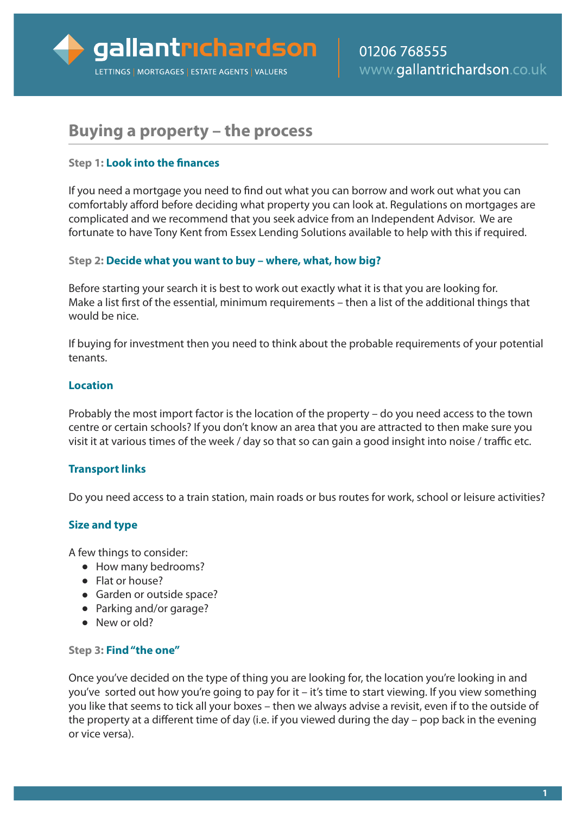# **Buying a property – the process**

## **Step 1: Look into the finances**

If you need a mortgage you need to find out what you can borrow and work out what you can comfortably afford before deciding what property you can look at. Regulations on mortgages are complicated and we recommend that you seek advice from an Independent Advisor. We are fortunate to have Tony Kent from Essex Lending Solutions available to help with this if required.

## **Step 2: Decide what you want to buy – where, what, how big?**

Before starting your search it is best to work out exactly what it is that you are looking for. Make a list first of the essential, minimum requirements – then a list of the additional things that would be nice.

If buying for investment then you need to think about the probable requirements of your potential tenants.

## **Location**

Probably the most import factor is the location of the property – do you need access to the town centre or certain schools? If you don't know an area that you are attracted to then make sure you visit it at various times of the week / day so that so can gain a good insight into noise / traffic etc.

# **Transport links**

Do you need access to a train station, main roads or bus routes for work, school or leisure activities?

# **Size and type**

A few things to consider:

- **●** How many bedrooms?
- **●** Flat or house?
- **●** Garden or outside space?
- **●** Parking and/or garage?
- **●** New or old?

#### **Step 3: Find"the one"**

Once you've decided on the type of thing you are looking for, the location you're looking in and you've sorted out how you're going to pay for it – it's time to start viewing. If you view something you like that seems to tick all your boxes – then we always advise a revisit, even if to the outside of the property at a different time of day (i.e. if you viewed during the day – pop back in the evening or vice versa).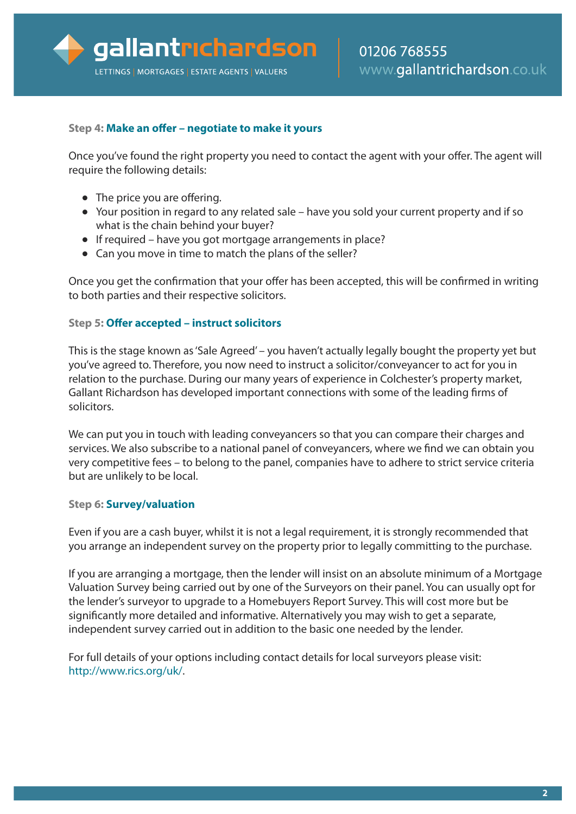## **Step 4: Make an offer – negotiate to make it yours**

Once you've found the right property you need to contact the agent with your offer. The agent will require the following details:

- **●** The price you are offering.
- **●** Your position in regard to any related sale have you sold your current property and if so what is the chain behind your buyer?
- **●** If required have you got mortgage arrangements in place?
- **●** Can you move in time to match the plans of the seller?

Once you get the confirmation that your offer has been accepted, this will be confirmed in writing to both parties and their respective solicitors.

#### **Step 5: Offer accepted – instruct solicitors**

This is the stage known as'Sale Agreed' – you haven't actually legally bought the property yet but you've agreed to. Therefore, you now need to instruct a solicitor/conveyancer to act for you in relation to the purchase. During our many years of experience in Colchester's property market, Gallant Richardson has developed important connections with some of the leading firms of solicitors.

We can put you in touch with leading conveyancers so that you can compare their charges and services. We also subscribe to a national panel of conveyancers, where we find we can obtain you very competitive fees – to belong to the panel, companies have to adhere to strict service criteria but are unlikely to be local.

#### **Step 6: Survey/valuation**

Even if you are a cash buyer, whilst it is not a legal requirement, it is strongly recommended that you arrange an independent survey on the property prior to legally committing to the purchase.

If you are arranging a mortgage, then the lender will insist on an absolute minimum of a Mortgage Valuation Survey being carried out by one of the Surveyors on their panel. You can usually opt for the lender's surveyor to upgrade to a Homebuyers Report Survey. This will cost more but be significantly more detailed and informative. Alternatively you may wish to get a separate, independent survey carried out in addition to the basic one needed by the lender.

For full details of your options including contact details for local surveyors please visit: [http://www.rics.org/uk/.](http://www.rics.org/uk/)